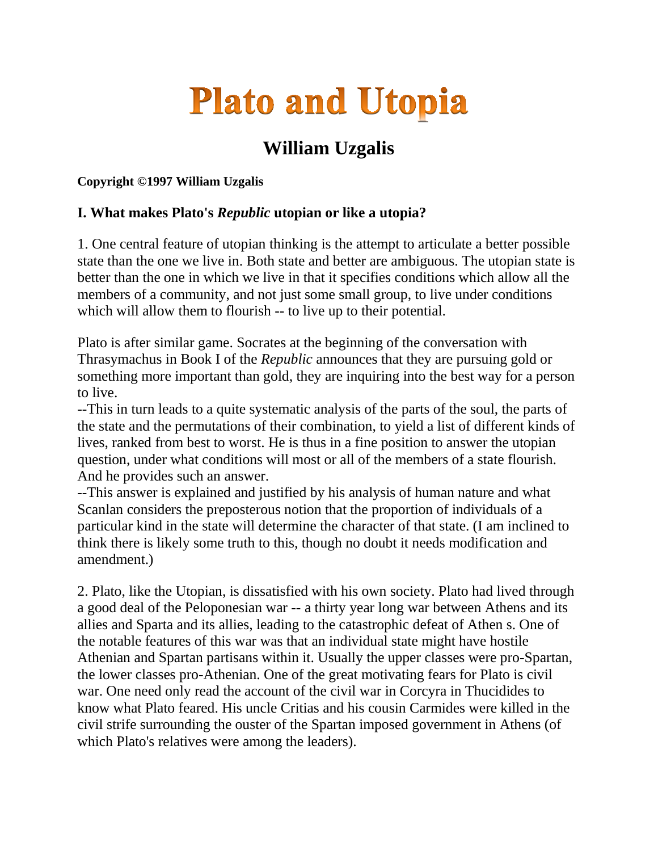# **Plato and Utopia**

## **William Uzgalis**

#### **Copyright ©1997 William Uzgalis**

### **I. What makes Plato's** *Republic* **utopian or like a utopia?**

1. One central feature of utopian thinking is the attempt to articulate a better possible state than the one we live in. Both state and better are ambiguous. The utopian state is better than the one in which we live in that it specifies conditions which allow all the members of a community, and not just some small group, to live under conditions which will allow them to flourish -- to live up to their potential.

Plato is after similar game. Socrates at the beginning of the conversation with Thrasymachus in Book I of the *Republic* announces that they are pursuing gold or something more important than gold, they are inquiring into the best way for a person to live.

--This in turn leads to a quite systematic analysis of the parts of the soul, the parts of the state and the permutations of their combination, to yield a list of different kinds of lives, ranked from best to worst. He is thus in a fine position to answer the utopian question, under what conditions will most or all of the members of a state flourish. And he provides such an answer.

--This answer is explained and justified by his analysis of human nature and what Scanlan considers the preposterous notion that the proportion of individuals of a particular kind in the state will determine the character of that state. (I am inclined to think there is likely some truth to this, though no doubt it needs modification and amendment.)

2. Plato, like the Utopian, is dissatisfied with his own society. Plato had lived through a good deal of the Peloponesian war -- a thirty year long war between Athens and its allies and Sparta and its allies, leading to the catastrophic defeat of Athen s. One of the notable features of this war was that an individual state might have hostile Athenian and Spartan partisans within it. Usually the upper classes were pro-Spartan, the lower classes pro-Athenian. One of the great motivating fears for Plato is civil war. One need only read the account of the civil war in Corcyra in Thucidides to know what Plato feared. His uncle Critias and his cousin Carmides were killed in the civil strife surrounding the ouster of the Spartan imposed government in Athens (of which Plato's relatives were among the leaders).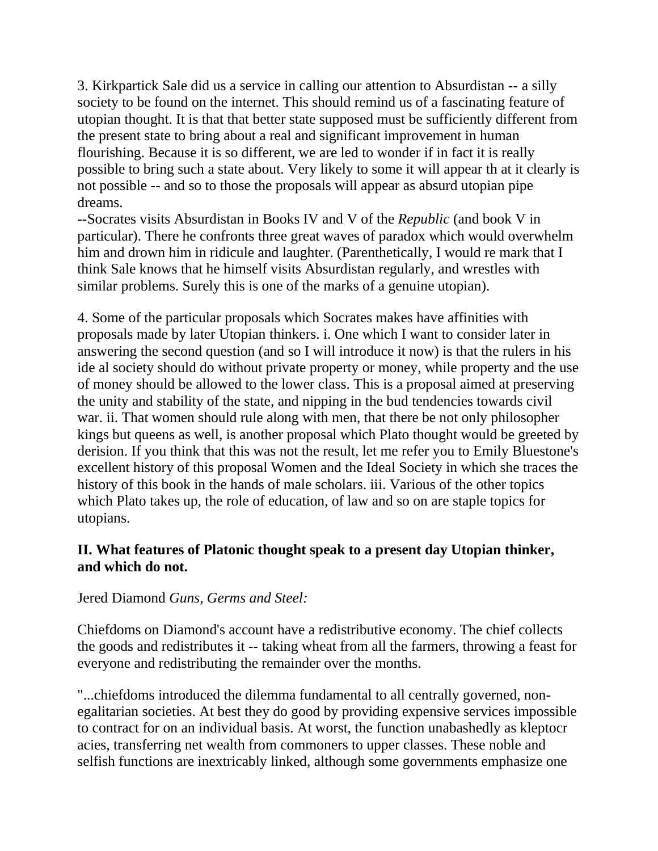3. Kirkpartick Sale did us a service in calling our attention to Absurdistan -- a silly society to be found on the internet. This should remind us of a fascinating feature of utopian thought. It is that that better state supposed must be sufficiently different from the present state to bring about a real and significant improvement in human flourishing. Because it is so different, we are led to wonder if in fact it is really possible to bring such a state about. Very likely to some it will appear th at it clearly is not possible -- and so to those the proposals will appear as absurd utopian pipe dreams.

--Socrates visits Absurdistan in Books IV and V of the *Republic* (and book V in particular). There he confronts three great waves of paradox which would overwhelm him and drown him in ridicule and laughter. (Parenthetically, I would re mark that I think Sale knows that he himself visits Absurdistan regularly, and wrestles with similar problems. Surely this is one of the marks of a genuine utopian).

4. Some of the particular proposals which Socrates makes have affinities with proposals made by later Utopian thinkers. i. One which I want to consider later in answering the second question (and so I will introduce it now) is that the rulers in his ide al society should do without private property or money, while property and the use of money should be allowed to the lower class. This is a proposal aimed at preserving the unity and stability of the state, and nipping in the bud tendencies towards civil war. ii. That women should rule along with men, that there be not only philosopher kings but queens as well, is another proposal which Plato thought would be greeted by derision. If you think that this was not the result, let me refer you to Emily Bluestone's excellent history of this proposal Women and the Ideal Society in which she traces the history of this book in the hands of male scholars. iii. Various of the other topics which Plato takes up, the role of education, of law and so on are staple topics for utopians.

#### **II. What features of Platonic thought speak to a present day Utopian thinker, and which do not.**

#### Jered Diamond *Guns, Germs and Steel:*

Chiefdoms on Diamond's account have a redistributive economy. The chief collects the goods and redistributes it -- taking wheat from all the farmers, throwing a feast for everyone and redistributing the remainder over the months.

"...chiefdoms introduced the dilemma fundamental to all centrally governed, nonegalitarian societies. At best they do good by providing expensive services impossible to contract for on an individual basis. At worst, the function unabashedly as kleptocr acies, transferring net wealth from commoners to upper classes. These noble and selfish functions are inextricably linked, although some governments emphasize one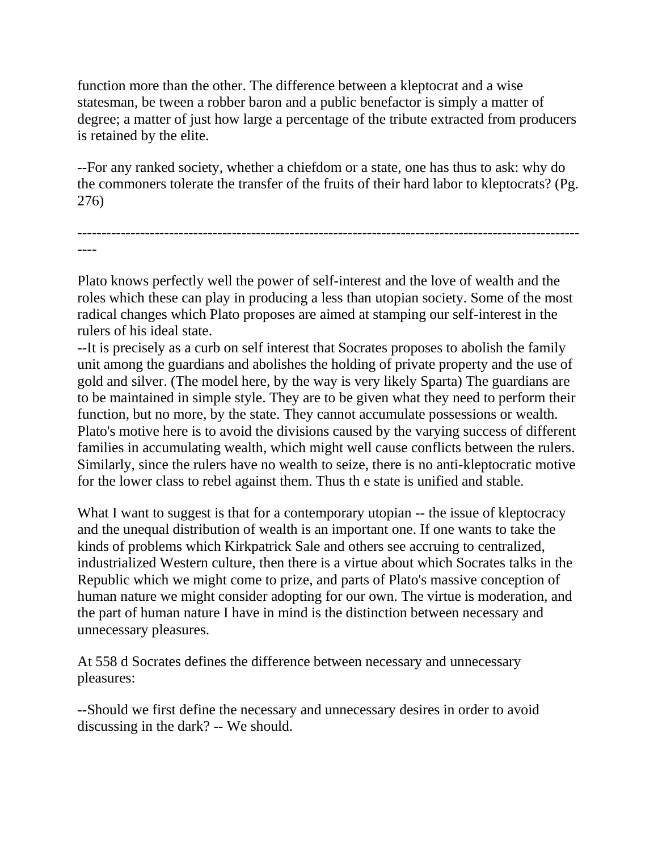function more than the other. The difference between a kleptocrat and a wise statesman, be tween a robber baron and a public benefactor is simply a matter of degree; a matter of just how large a percentage of the tribute extracted from producers is retained by the elite.

--For any ranked society, whether a chiefdom or a state, one has thus to ask: why do the commoners tolerate the transfer of the fruits of their hard labor to kleptocrats? (Pg. 276)

-------------------------------------------------------------------------------------------------------- ----

Plato knows perfectly well the power of self-interest and the love of wealth and the roles which these can play in producing a less than utopian society. Some of the most radical changes which Plato proposes are aimed at stamping our self-interest in the rulers of his ideal state.

--It is precisely as a curb on self interest that Socrates proposes to abolish the family unit among the guardians and abolishes the holding of private property and the use of gold and silver. (The model here, by the way is very likely Sparta) The guardians are to be maintained in simple style. They are to be given what they need to perform their function, but no more, by the state. They cannot accumulate possessions or wealth. Plato's motive here is to avoid the divisions caused by the varying success of different families in accumulating wealth, which might well cause conflicts between the rulers. Similarly, since the rulers have no wealth to seize, there is no anti-kleptocratic motive for the lower class to rebel against them. Thus th e state is unified and stable.

What I want to suggest is that for a contemporary utopian -- the issue of kleptocracy and the unequal distribution of wealth is an important one. If one wants to take the kinds of problems which Kirkpatrick Sale and others see accruing to centralized, industrialized Western culture, then there is a virtue about which Socrates talks in the Republic which we might come to prize, and parts of Plato's massive conception of human nature we might consider adopting for our own. The virtue is moderation, and the part of human nature I have in mind is the distinction between necessary and unnecessary pleasures.

At 558 d Socrates defines the difference between necessary and unnecessary pleasures:

--Should we first define the necessary and unnecessary desires in order to avoid discussing in the dark? -- We should.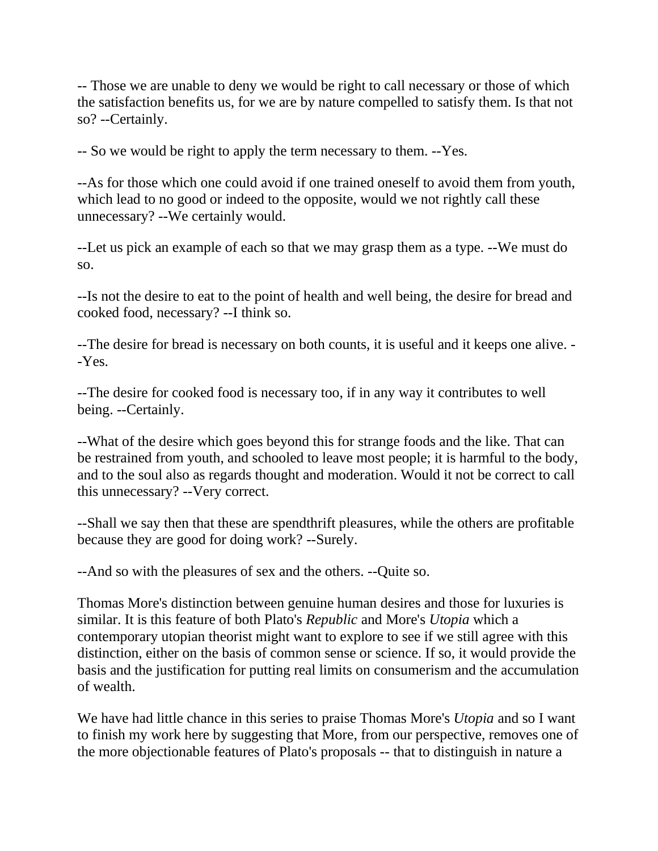-- Those we are unable to deny we would be right to call necessary or those of which the satisfaction benefits us, for we are by nature compelled to satisfy them. Is that not so? --Certainly.

-- So we would be right to apply the term necessary to them. --Yes.

--As for those which one could avoid if one trained oneself to avoid them from youth, which lead to no good or indeed to the opposite, would we not rightly call these unnecessary? --We certainly would.

--Let us pick an example of each so that we may grasp them as a type. --We must do so.

--Is not the desire to eat to the point of health and well being, the desire for bread and cooked food, necessary? --I think so.

--The desire for bread is necessary on both counts, it is useful and it keeps one alive. - -Yes.

--The desire for cooked food is necessary too, if in any way it contributes to well being. --Certainly.

--What of the desire which goes beyond this for strange foods and the like. That can be restrained from youth, and schooled to leave most people; it is harmful to the body, and to the soul also as regards thought and moderation. Would it not be correct to call this unnecessary? --Very correct.

--Shall we say then that these are spendthrift pleasures, while the others are profitable because they are good for doing work? --Surely.

--And so with the pleasures of sex and the others. --Quite so.

Thomas More's distinction between genuine human desires and those for luxuries is similar. It is this feature of both Plato's *Republic* and More's *Utopia* which a contemporary utopian theorist might want to explore to see if we still agree with this distinction, either on the basis of common sense or science. If so, it would provide the basis and the justification for putting real limits on consumerism and the accumulation of wealth.

We have had little chance in this series to praise Thomas More's *Utopia* and so I want to finish my work here by suggesting that More, from our perspective, removes one of the more objectionable features of Plato's proposals -- that to distinguish in nature a